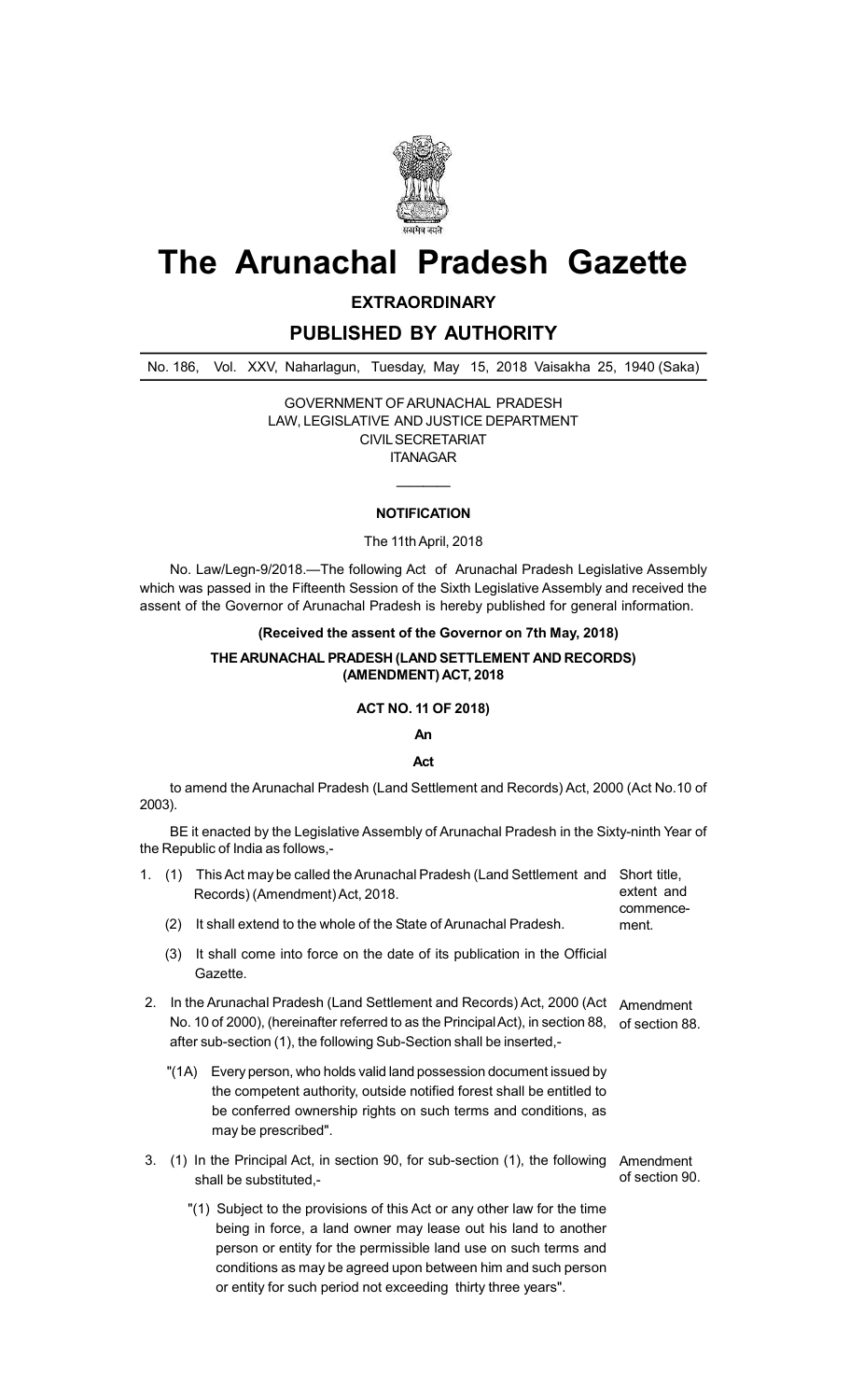

# **The Arunachal Pradesh Gazette**

**EXTRAORDINARY**

**PUBLISHED BY AUTHORITY**

No. 186, Vol. XXV, Naharlagun, Tuesday, May 15, 2018 Vaisakha 25, 1940 (Saka)

GOVERNMENT OF ARUNACHAL PRADESH LAW, LEGISLATIVE AND JUSTICE DEPARTMENT CIVIL SECRETARIAT ITANAGAR

## ———— **NOTIFICATION**

#### The 11th April, 2018

No. Law/Legn-9/2018.—The following Act of Arunachal Pradesh Legislative Assembly which was passed in the Fifteenth Session of the Sixth Legislative Assembly and received the assent of the Governor of Arunachal Pradesh is hereby published for general information.

## **(Received the assent of the Governor on 7th May, 2018)**

#### **THE ARUNACHAL PRADESH (LAND SETTLEMENT AND RECORDS) (AMENDMENT) ACT, 2018**

#### **ACT NO. 11 OF 2018)**

## **An**

### **Act**

to amend the Arunachal Pradesh (Land Settlement and Records) Act, 2000 (Act No.10 of 2003).

BE it enacted by the Legislative Assembly of Arunachal Pradesh in the Sixty-ninth Year of the Republic of India as follows,-

| 1. | (1)                                                                                                                                                                                                                              | This Act may be called the Arunachal Pradesh (Land Settlement and<br>Records) (Amendment) Act, 2018.                                                                                                                               | Short title,<br>extent and<br>commence-<br>ment. |
|----|----------------------------------------------------------------------------------------------------------------------------------------------------------------------------------------------------------------------------------|------------------------------------------------------------------------------------------------------------------------------------------------------------------------------------------------------------------------------------|--------------------------------------------------|
|    | (2)                                                                                                                                                                                                                              | It shall extend to the whole of the State of Arunachal Pradesh.                                                                                                                                                                    |                                                  |
|    | (3)                                                                                                                                                                                                                              | It shall come into force on the date of its publication in the Official<br>Gazette.                                                                                                                                                |                                                  |
| 2. | In the Arunachal Pradesh (Land Settlement and Records) Act, 2000 (Act<br>No. 10 of 2000), (hereinafter referred to as the Principal Act), in section 88,<br>after sub-section (1), the following Sub-Section shall be inserted,- |                                                                                                                                                                                                                                    | Amendment<br>of section 88.                      |
|    | "(1A)                                                                                                                                                                                                                            | Every person, who holds valid land possession document issued by<br>the competent authority, outside notified forest shall be entitled to<br>be conferred ownership rights on such terms and conditions, as<br>may be prescribed". |                                                  |
| 3. |                                                                                                                                                                                                                                  | (1) In the Principal Act, in section 90, for sub-section (1), the following<br>shall he substituted -                                                                                                                              | Amendment<br>of section 90.                      |

"(1) Subject to the provisions of this Act or any other law for the time being in force, a land owner may lease out his land to another person or entity for the permissible land use on such terms and conditions as may be agreed upon between him and such person or entity for such period not exceeding thirty three years".

shall be substituted,-